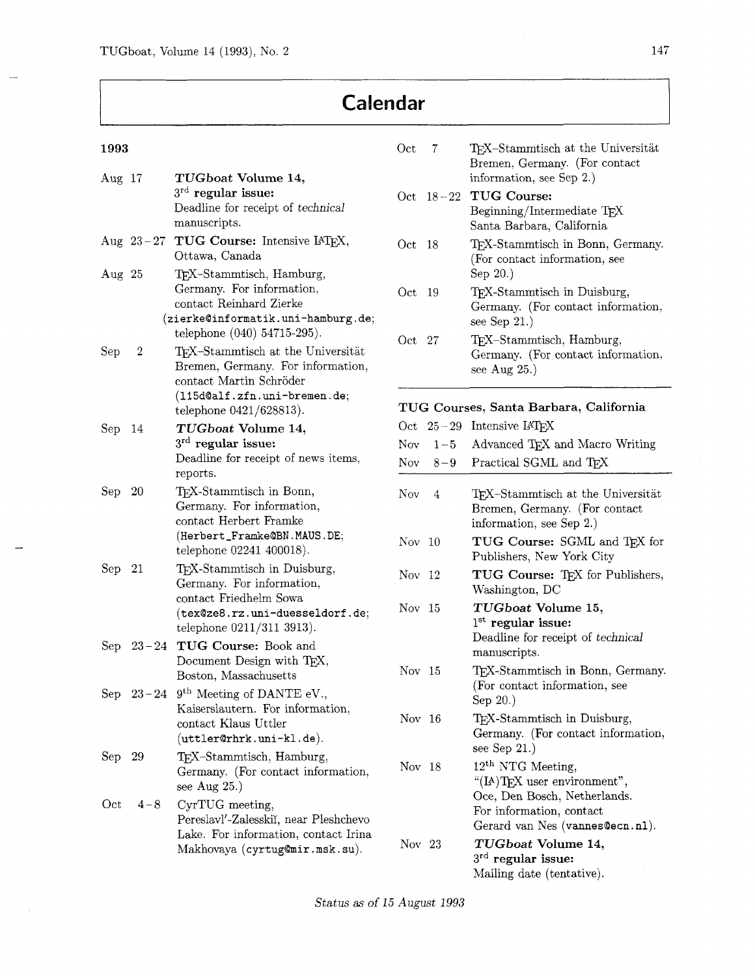# **Calendar**

| 1993           |             |                                                                                                                                                                             | Oct               |
|----------------|-------------|-----------------------------------------------------------------------------------------------------------------------------------------------------------------------------|-------------------|
| $\rm{Aug~17}$  |             | TUGboat Volume 14,<br>$3^{\rm rd}$ regular issue:<br>Deadline for receipt of technical<br>manuscripts.                                                                      | $_{\rm Oct}$      |
|                | Aug $23-27$ | TUG Course: Intensive IATEX,<br>Ottawa, Canada                                                                                                                              | Oct               |
| $\rm{Aug\_25}$ |             | TEX-Stammtisch, Hamburg,<br>Germany. For information,<br>contact Reinhard Zierke<br>(zierke@informatik.uni-hamburg.de;<br>telephone (040) 54715-295).                       | Oct               |
| $_{\rm Sep}$   | 2           | T <sub>F</sub> X-Stammtisch at the Universität<br>Bremen, Germany. For information,<br>contact Martin Schröder<br>(115d@alf.zfn.uni-bremen.de;<br>telephone $0421/628813$ . | Oct<br>TU         |
| $_{\rm Sep}$   | 14          | TUGboat Volume 14,<br>$3rd$ regular issue:<br>Deadline for receipt of news items,<br>reports.                                                                               | Oct<br>Nov<br>Nov |
| $\rm Sep$      | 20          | TEX-Stammtisch in Bonn,<br>Germany. For information,<br>contact Herbert Framke<br>(Herbert_Framke@BN.MAUS.DE;<br>telephone 02241 400018).                                   | Nov<br>No         |
| ${\rm Sep}$    | 21          | TEX-Stammtisch in Duisburg,<br>Germany. For information,<br>contact Friedhelm Sowa<br>(tex@ze8.rz.uni-duesseldorf.de;<br>telephone 0211/311 3913).                          | No<br>No          |
| $\rm Sep$      | $23 - 24$   | TUG Course: Book and<br>Document Design with TEX,<br>Boston, Massachusetts                                                                                                  | No                |
|                |             | Sep $23-24$ 9 <sup>th</sup> Meeting of DANTE eV.,<br>Kaiserslautern. For information,<br>contact Klaus Uttler<br>(uttler@rhrk.uni-kl.de).                                   | No                |
| ${\rm Sep}$    | 29          | TEX-Stammtisch, Hamburg,<br>Germany. (For contact information,<br>see Aug $25.$ )                                                                                           | No                |
| $\rm Oct$      | $4 - 8$     | CyrTUG meeting,<br>Pereslavl'-Zalesskiï, near Pleshchevo<br>Lake. For information, contact Irina<br>Makhovaya (cyrtug@mir.msk.su).                                          | No                |

| Oct      | 7    | TFX-Stammtisch at the Universität<br>Bremen, Germany. (For contact<br>information, see Sep 2.) |
|----------|------|------------------------------------------------------------------------------------------------|
|          |      | Oct 18-22 TUG Course:<br>Beginning/Intermediate TFX<br>Santa Barbara, California               |
| Oct      | 18   | TFX-Stammtisch in Bonn, Germany.<br>(For contact information, see<br>Sep 20.)                  |
| Oct.     | - 19 | TFX-Stammtisch in Duisburg,<br>Germany. (For contact information,<br>see Sep $21.$ )           |
| $Oct$ 27 |      | TFX-Stammtisch, Hamburg,<br>Germany. (For contact information,<br>see Aug $25.$ )              |

| TUG Courses, Santa Barbara, California |           |                                                                                                                                                   |  |
|----------------------------------------|-----------|---------------------------------------------------------------------------------------------------------------------------------------------------|--|
|                                        |           | $\det$ 25 – 29 Intensive IAT <sub>F</sub> X                                                                                                       |  |
|                                        |           | Nov $1-5$ Advanced TFX and Macro Writing                                                                                                          |  |
|                                        | Nov $8-9$ | Practical SGML and TFX                                                                                                                            |  |
| Now 4                                  |           | T <sub>F</sub> X-Stammtisch at the Universität<br>Bremen, Germany. (For contact<br>information, see Sep 2.)                                       |  |
| Nov $10$                               |           | TUG Course: SGML and TEX for<br>Publishers, New York City                                                                                         |  |
| Nov 12                                 |           | TUG Course: TFX for Publishers,<br>Washington, DC                                                                                                 |  |
| Nov 15                                 |           | TUGboat Volume 15,<br>$1st$ regular issue:<br>Deadline for receipt of technical<br>manuscripts.                                                   |  |
| Nov 15                                 |           | TEX-Stammtisch in Bonn, Germany.<br>(For contact information, see<br>Sep 20.)                                                                     |  |
| Nov 16                                 |           | TFX-Stammtisch in Duisburg,<br>Germany. (For contact information,<br>see Sep $21.$ )                                                              |  |
| Nov $18$                               |           | $12th$ NTG Meeting,<br>"(IA)TFX user environment",<br>Oce, Den Bosch, Netherlands.<br>For information, contact<br>Gerard van Nes (vannes@ecn.nl). |  |
| Nov 23                                 |           | TUGboat Volume 14,<br>$3^{\text{rd}}$ regular issue:<br>Mailing date (tentative).                                                                 |  |

Status as of 15 August 1993